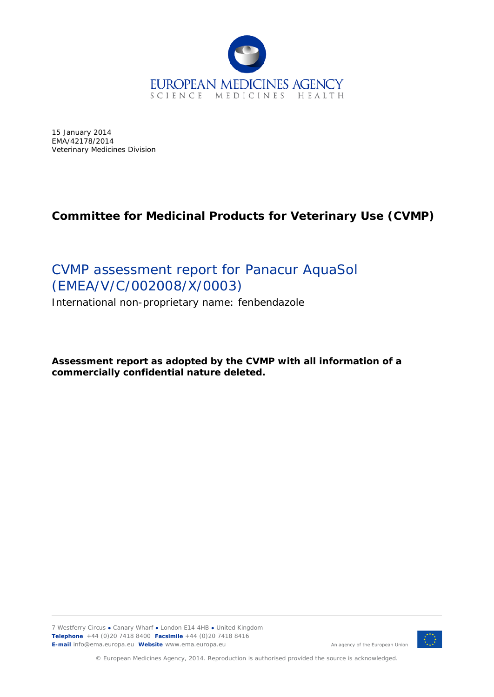

15 January 2014 EMA/42178/2014 Veterinary Medicines Division

# **Committee for Medicinal Products for Veterinary Use (CVMP)**

# CVMP assessment report for Panacur AquaSol (EMEA/V/C/002008/X/0003)

International non-proprietary name: fenbendazole

**Assessment report as adopted by the CVMP with all information of a commercially confidential nature deleted.**

7 Westferry Circus **●** Canary Wharf **●** London E14 4HB **●** United Kingdom **Telephone** +44 (0)20 7418 8400 **Facsimile** +44 (0)20 7418 8416 **E-mail** info@ema.europa.eu **Website** www.ema.europa.eu



© European Medicines Agency, 2014. Reproduction is authorised provided the source is acknowledged.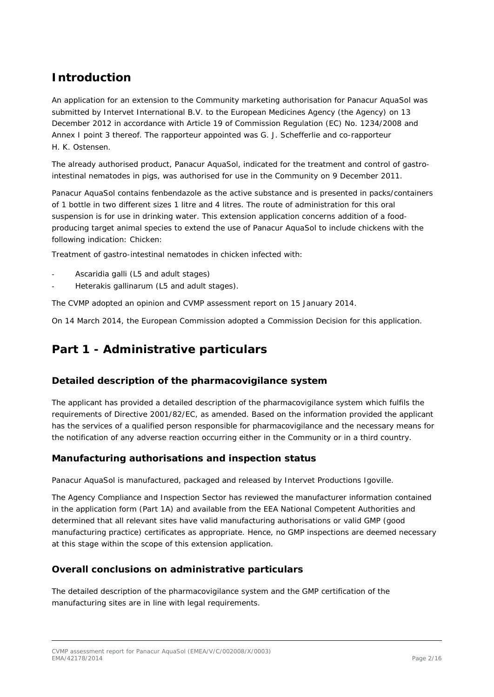# *Introduction*

An application for an extension to the Community marketing authorisation for Panacur AquaSol was submitted by Intervet International B.V. to the European Medicines Agency (the Agency) on 13 December 2012 in accordance with Article 19 of Commission Regulation (EC) No. 1234/2008 and Annex I point 3 thereof. The rapporteur appointed was G. J. Schefferlie and co-rapporteur H. K. Ostensen.

The already authorised product, Panacur AquaSol, indicated for the treatment and control of gastrointestinal nematodes in pigs, was authorised for use in the Community on 9 December 2011.

Panacur AquaSol contains fenbendazole as the active substance and is presented in packs/containers of 1 bottle in two different sizes 1 litre and 4 litres. The route of administration for this oral suspension is for use in drinking water. This extension application concerns addition of a foodproducing target animal species to extend the use of Panacur AquaSol to include chickens with the following indication: *Chicken:*

*Treatment of gastro-intestinal nematodes in chicken infected with:*

- *- Ascaridia galli (L5 and adult stages)*
- *- Heterakis gallinarum (L5 and adult stages*)*.*

The CVMP adopted an opinion and CVMP assessment report on 15 January 2014.

On 14 March 2014, the European Commission adopted a Commission Decision for this application.

# **Part 1 - Administrative particulars**

### *Detailed description of the pharmacovigilance system*

The applicant has provided a detailed description of the pharmacovigilance system which fulfils the requirements of Directive 2001/82/EC, as amended. Based on the information provided the applicant has the services of a qualified person responsible for pharmacovigilance and the necessary means for the notification of any adverse reaction occurring either in the Community or in a third country.

## *Manufacturing authorisations and inspection status*

Panacur AquaSol is manufactured, packaged and released by Intervet Productions Igoville.

The Agency Compliance and Inspection Sector has reviewed the manufacturer information contained in the application form (Part 1A) and available from the EEA National Competent Authorities and determined that all relevant sites have valid manufacturing authorisations or valid GMP (good manufacturing practice) certificates as appropriate. Hence, no GMP inspections are deemed necessary at this stage within the scope of this extension application.

### *Overall conclusions on administrative particulars*

The detailed description of the pharmacovigilance system and the GMP certification of the manufacturing sites are in line with legal requirements.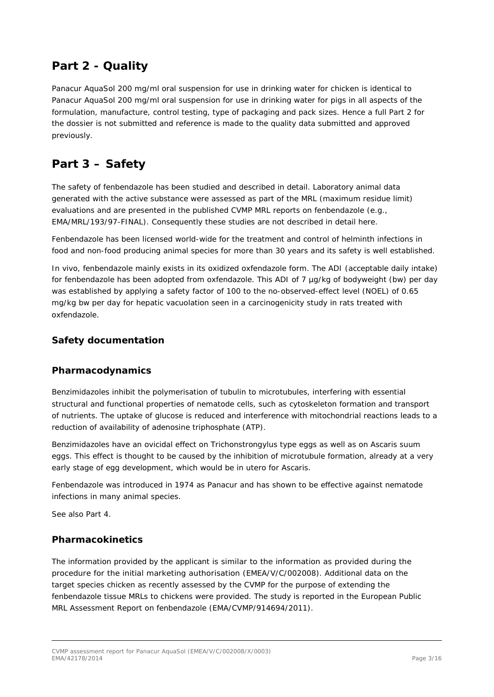# **Part 2 - Quality**

Panacur AquaSol 200 mg/ml oral suspension for use in drinking water for chicken is identical to Panacur AquaSol 200 mg/ml oral suspension for use in drinking water for pigs in all aspects of the formulation, manufacture, control testing, type of packaging and pack sizes. Hence a full Part 2 for the dossier is not submitted and reference is made to the quality data submitted and approved previously.

# **Part 3 – Safety**

The safety of fenbendazole has been studied and described in detail. Laboratory animal data generated with the active substance were assessed as part of the MRL (maximum residue limit) evaluations and are presented in the published CVMP MRL reports on fenbendazole (e.g., EMA/MRL/193/97-FINAL). Consequently these studies are not described in detail here.

Fenbendazole has been licensed world-wide for the treatment and control of helminth infections in food and non-food producing animal species for more than 30 years and its safety is well established.

*In vivo*, fenbendazole mainly exists in its oxidized oxfendazole form. The ADI (acceptable daily intake) for fenbendazole has been adopted from oxfendazole. This ADI of 7 µg/kg of bodyweight (bw) per day was established by applying a safety factor of 100 to the no-observed-effect level (NOEL) of 0.65 mg/kg bw per day for hepatic vacuolation seen in a carcinogenicity study in rats treated with oxfendazole.

## *Safety documentation*

### *Pharmacodynamics*

Benzimidazoles inhibit the polymerisation of tubulin to microtubules, interfering with essential structural and functional properties of nematode cells, such as cytoskeleton formation and transport of nutrients. The uptake of glucose is reduced and interference with mitochondrial reactions leads to a reduction of availability of adenosine triphosphate (ATP).

Benzimidazoles have an ovicidal effect on *Trichonstrongylus* type eggs as well as on *Ascaris suum*  eggs. This effect is thought to be caused by the inhibition of microtubule formation, already at a very early stage of egg development, which would be *in utero* for *Ascaris*.

Fenbendazole was introduced in 1974 as Panacur and has shown to be effective against nematode infections in many animal species.

See also Part 4.

### *Pharmacokinetics*

The information provided by the applicant is similar to the information as provided during the procedure for the initial marketing authorisation (EMEA/V/C/002008). Additional data on the target species chicken as recently assessed by the CVMP for the purpose of extending the fenbendazole tissue MRLs to chickens were provided. The study is reported in the European Public MRL Assessment Report on fenbendazole (EMA/CVMP/914694/2011).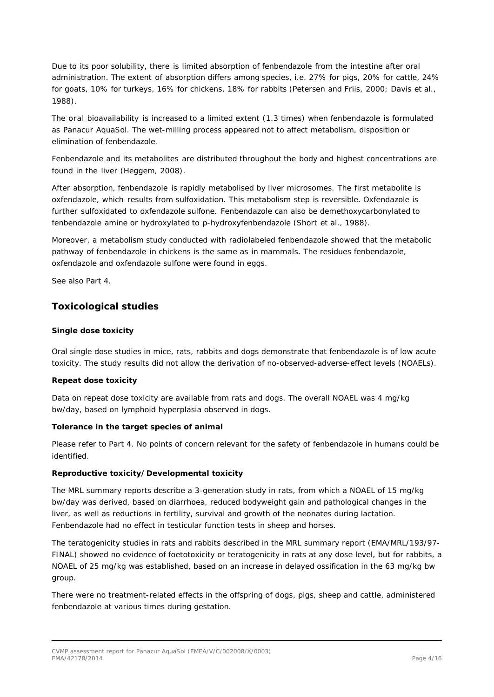Due to its poor solubility, there is limited absorption of fenbendazole from the intestine after oral administration. The extent of absorption differs among species, i.e. 27% for pigs, 20% for cattle, 24% for goats, 10% for turkeys, 16% for chickens, 18% for rabbits (Petersen and Friis, 2000; Davis et al., 1988).

The oral bioavailability is increased to a limited extent (1.3 times) when fenbendazole is formulated as Panacur AquaSol. The wet-milling process appeared not to affect metabolism, disposition or elimination of fenbendazole.

Fenbendazole and its metabolites are distributed throughout the body and highest concentrations are found in the liver (Heggem, 2008).

After absorption, fenbendazole is rapidly metabolised by liver microsomes. The first metabolite is oxfendazole, which results from sulfoxidation. This metabolism step is reversible. Oxfendazole is further sulfoxidated to oxfendazole sulfone. Fenbendazole can also be demethoxycarbonylated to fenbendazole amine or hydroxylated to p-hydroxyfenbendazole (Short *et al*., 1988).

Moreover, a metabolism study conducted with radiolabeled fenbendazole showed that the metabolic pathway of fenbendazole in chickens is the same as in mammals. The residues fenbendazole, oxfendazole and oxfendazole sulfone were found in eggs.

See also Part 4.

## *Toxicological studies*

#### **Single dose toxicity**

Oral single dose studies in mice, rats, rabbits and dogs demonstrate that fenbendazole is of low acute toxicity. The study results did not allow the derivation of no-observed-adverse-effect levels (NOAELs).

#### **Repeat dose toxicity**

Data on repeat dose toxicity are available from rats and dogs. The overall NOAEL was 4 mg/kg bw/day, based on lymphoid hyperplasia observed in dogs.

#### **Tolerance in the target species of animal**

Please refer to Part 4. No points of concern relevant for the safety of fenbendazole in humans could be identified.

#### **Reproductive toxicity/Developmental toxicity**

The MRL summary reports describe a 3-generation study in rats, from which a NOAEL of 15 mg/kg bw/day was derived, based on diarrhoea, reduced bodyweight gain and pathological changes in the liver, as well as reductions in fertility, survival and growth of the neonates during lactation. Fenbendazole had no effect in testicular function tests in sheep and horses.

The teratogenicity studies in rats and rabbits described in the MRL summary report (EMA/MRL/193/97- FINAL) showed no evidence of foetotoxicity or teratogenicity in rats at any dose level, but for rabbits, a NOAEL of 25 mg/kg was established, based on an increase in delayed ossification in the 63 mg/kg bw group.

There were no treatment-related effects in the offspring of dogs, pigs, sheep and cattle, administered fenbendazole at various times during gestation.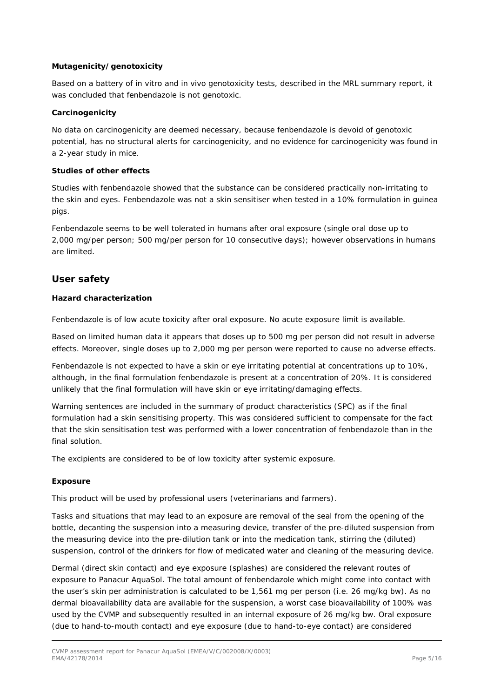#### **Mutagenicity/genotoxicity**

Based on a battery of *in vitro* and *in vivo* genotoxicity tests, described in the MRL summary report, it was concluded that fenbendazole is not genotoxic.

#### **Carcinogenicity**

No data on carcinogenicity are deemed necessary, because fenbendazole is devoid of genotoxic potential, has no structural alerts for carcinogenicity, and no evidence for carcinogenicity was found in a 2-year study in mice.

#### **Studies of other effects**

Studies with fenbendazole showed that the substance can be considered practically non-irritating to the skin and eyes. Fenbendazole was not a skin sensitiser when tested in a 10% formulation in guinea pigs.

Fenbendazole seems to be well tolerated in humans after oral exposure (single oral dose up to 2,000 mg/per person; 500 mg/per person for 10 consecutive days); however observations in humans are limited.

## *User safety*

#### **Hazard characterization**

Fenbendazole is of low acute toxicity after oral exposure. No acute exposure limit is available.

Based on limited human data it appears that doses up to 500 mg per person did not result in adverse effects. Moreover, single doses up to 2,000 mg per person were reported to cause no adverse effects.

Fenbendazole is not expected to have a skin or eye irritating potential at concentrations up to 10%, although, in the final formulation fenbendazole is present at a concentration of 20%. It is considered unlikely that the final formulation will have skin or eye irritating/damaging effects.

Warning sentences are included in the summary of product characteristics (SPC) as if the final formulation had a skin sensitising property. This was considered sufficient to compensate for the fact that the skin sensitisation test was performed with a lower concentration of fenbendazole than in the final solution.

The excipients are considered to be of low toxicity after systemic exposure.

#### **Exposure**

This product will be used by professional users (veterinarians and farmers).

Tasks and situations that may lead to an exposure are removal of the seal from the opening of the bottle, decanting the suspension into a measuring device, transfer of the pre-diluted suspension from the measuring device into the pre-dilution tank or into the medication tank, stirring the (diluted) suspension, control of the drinkers for flow of medicated water and cleaning of the measuring device.

Dermal (direct skin contact) and eye exposure (splashes) are considered the relevant routes of exposure to Panacur AquaSol. The total amount of fenbendazole which might come into contact with the user's skin per administration is calculated to be 1,561 mg per person (i.e. 26 mg/kg bw). As no dermal bioavailability data are available for the suspension, a worst case bioavailability of 100% was used by the CVMP and subsequently resulted in an internal exposure of 26 mg/kg bw. Oral exposure (due to hand-to-mouth contact) and eye exposure (due to hand-to-eye contact) are considered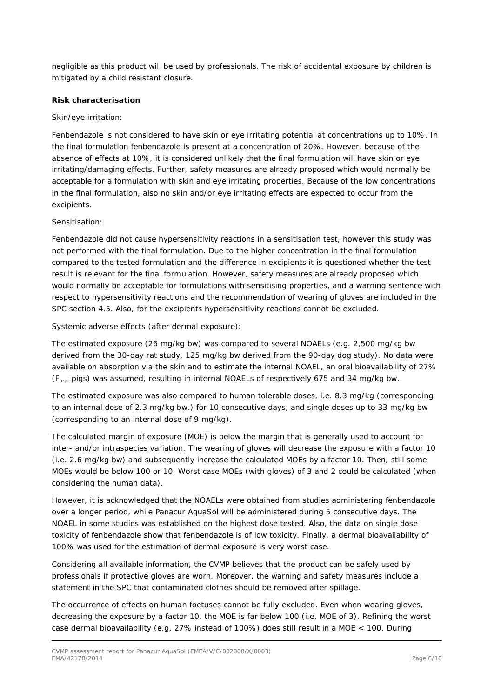negligible as this product will be used by professionals. The risk of accidental exposure by children is mitigated by a child resistant closure.

#### **Risk characterisation**

#### Skin/eye irritation:

Fenbendazole is not considered to have skin or eve irritating potential at concentrations up to 10%. In the final formulation fenbendazole is present at a concentration of 20%. However, because of the absence of effects at 10%, it is considered unlikely that the final formulation will have skin or eye irritating/damaging effects. Further, safety measures are already proposed which would normally be acceptable for a formulation with skin and eye irritating properties. Because of the low concentrations in the final formulation, also no skin and/or eye irritating effects are expected to occur from the excipients.

#### Sensitisation:

Fenbendazole did not cause hypersensitivity reactions in a sensitisation test, however this study was not performed with the final formulation. Due to the higher concentration in the final formulation compared to the tested formulation and the difference in excipients it is questioned whether the test result is relevant for the final formulation. However, safety measures are already proposed which would normally be acceptable for formulations with sensitising properties, and a warning sentence with respect to hypersensitivity reactions and the recommendation of wearing of gloves are included in the SPC section 4.5. Also, for the excipients hypersensitivity reactions cannot be excluded.

Systemic adverse effects (after dermal exposure):

The estimated exposure (26 mg/kg bw) was compared to several NOAELs (e.g. 2,500 mg/kg bw derived from the 30-day rat study, 125 mg/kg bw derived from the 90-day dog study). No data were available on absorption via the skin and to estimate the internal NOAEL, an oral bioavailability of 27% (Foral pigs) was assumed, resulting in internal NOAELs of respectively 675 and 34 mg/kg bw.

The estimated exposure was also compared to human tolerable doses, i.e. 8.3 mg/kg (corresponding to an internal dose of 2.3 mg/kg bw.) for 10 consecutive days, and single doses up to 33 mg/kg bw (corresponding to an internal dose of 9 mg/kg).

The calculated margin of exposure (MOE) is below the margin that is generally used to account for inter- and/or intraspecies variation. The wearing of gloves will decrease the exposure with a factor 10 (i.e. 2.6 mg/kg bw) and subsequently increase the calculated MOEs by a factor 10. Then, still some MOEs would be below 100 or 10. Worst case MOEs (with gloves) of 3 and 2 could be calculated (when considering the human data).

However, it is acknowledged that the NOAELs were obtained from studies administering fenbendazole over a longer period, while Panacur AquaSol will be administered during 5 consecutive days. The NOAEL in some studies was established on the highest dose tested. Also, the data on single dose toxicity of fenbendazole show that fenbendazole is of low toxicity. Finally, a dermal bioavailability of 100% was used for the estimation of dermal exposure is very worst case.

Considering all available information, the CVMP believes that the product can be safely used by professionals if protective gloves are worn. Moreover, the warning and safety measures include a statement in the SPC that contaminated clothes should be removed after spillage.

The occurrence of effects on human foetuses cannot be fully excluded. Even when wearing gloves, decreasing the exposure by a factor 10, the MOE is far below 100 (i.e. MOE of 3). Refining the worst case dermal bioavailability (e.g. 27% instead of 100%) does still result in a MOE < 100. During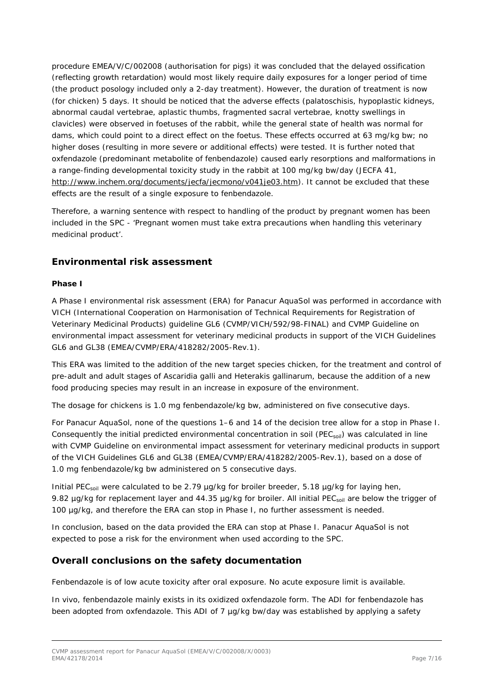procedure EMEA/V/C/002008 (authorisation for pigs) it was concluded that the delayed ossification (reflecting growth retardation) would most likely require daily exposures for a longer period of time (the product posology included only a 2-day treatment). However, the duration of treatment is now (for chicken) 5 days. It should be noticed that the adverse effects (palatoschisis, hypoplastic kidneys, abnormal caudal vertebrae, aplastic thumbs, fragmented sacral vertebrae, knotty swellings in clavicles) were observed in foetuses of the rabbit, while the general state of health was normal for dams, which could point to a direct effect on the foetus. These effects occurred at 63 mg/kg bw; no higher doses (resulting in more severe or additional effects) were tested. It is further noted that oxfendazole (predominant metabolite of fenbendazole) caused early resorptions and malformations in a range-finding developmental toxicity study in the rabbit at 100 mg/kg bw/day (JECFA 41, [http://www.inchem.org/documents/jecfa/jecmono/v041je03.htm\)](http://www.inchem.org/documents/jecfa/jecmono/v041je03.htm). It cannot be excluded that these effects are the result of a single exposure to fenbendazole.

Therefore, a warning sentence with respect to handling of the product by pregnant women has been included in the SPC - 'Pregnant women must take extra precautions when handling this veterinary medicinal product'.

## *Environmental risk assessment*

#### **Phase I**

A Phase I environmental risk assessment (ERA) for Panacur AquaSol was performed in accordance with VICH (International Cooperation on Harmonisation of Technical Requirements for Registration of Veterinary Medicinal Products) guideline GL6 (CVMP/VICH/592/98-FINAL) and CVMP Guideline on environmental impact assessment for veterinary medicinal products in support of the VICH Guidelines GL6 and GL38 (EMEA/CVMP/ERA/418282/2005-Rev.1).

This ERA was limited to the addition of the new target species chicken, for the treatment and control of pre-adult and adult stages of *Ascaridia galli* and *Heterakis gallinarum*, because the addition of a new food producing species may result in an increase in exposure of the environment.

The dosage for chickens is 1.0 mg fenbendazole/kg bw, administered on five consecutive days.

For Panacur AquaSol, none of the questions 1–6 and 14 of the decision tree allow for a stop in Phase I. Consequently the initial predicted environmental concentration in soil (PEC<sub>soil</sub>) was calculated in line with CVMP Guideline on environmental impact assessment for veterinary medicinal products in support of the VICH Guidelines GL6 and GL38 (EMEA/CVMP/ERA/418282/2005-Rev.1), based on a dose of 1.0 mg fenbendazole/kg bw administered on 5 consecutive days.

Initial PEC<sub>soil</sub> were calculated to be 2.79 µg/kg for broiler breeder, 5.18 µg/kg for laying hen, 9.82 µg/kg for replacement layer and 44.35 µg/kg for broiler. All initial PEC<sub>soil</sub> are below the trigger of 100 µg/kg, and therefore the ERA can stop in Phase I, no further assessment is needed.

In conclusion, based on the data provided the ERA can stop at Phase I. Panacur AquaSol is not expected to pose a risk for the environment when used according to the SPC.

### *Overall conclusions on the safety documentation*

Fenbendazole is of low acute toxicity after oral exposure. No acute exposure limit is available.

*In vivo*, fenbendazole mainly exists in its oxidized oxfendazole form. The ADI for fenbendazole has been adopted from oxfendazole. This ADI of 7 µg/kg bw/day was established by applying a safety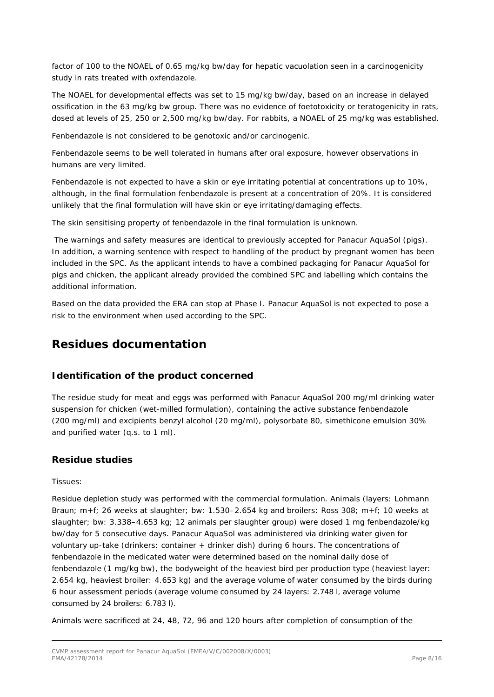factor of 100 to the NOAEL of 0.65 mg/kg bw/day for hepatic vacuolation seen in a carcinogenicity study in rats treated with oxfendazole.

The NOAEL for developmental effects was set to 15 mg/kg bw/day, based on an increase in delayed ossification in the 63 mg/kg bw group. There was no evidence of foetotoxicity or teratogenicity in rats, dosed at levels of 25, 250 or 2,500 mg/kg bw/day. For rabbits, a NOAEL of 25 mg/kg was established.

Fenbendazole is not considered to be genotoxic and/or carcinogenic.

Fenbendazole seems to be well tolerated in humans after oral exposure, however observations in humans are very limited.

Fenbendazole is not expected to have a skin or eye irritating potential at concentrations up to 10%, although, in the final formulation fenbendazole is present at a concentration of 20%. It is considered unlikely that the final formulation will have skin or eye irritating/damaging effects.

The skin sensitising property of fenbendazole in the final formulation is unknown.

The warnings and safety measures are identical to previously accepted for Panacur AquaSol (pigs). In addition, a warning sentence with respect to handling of the product by pregnant women has been included in the SPC. As the applicant intends to have a combined packaging for Panacur AquaSol for pigs and chicken, the applicant already provided the combined SPC and labelling which contains the additional information.

Based on the data provided the ERA can stop at Phase I. Panacur AquaSol is not expected to pose a risk to the environment when used according to the SPC.

# **Residues documentation**

### *Identification of the product concerned*

The residue study for meat and eggs was performed with Panacur AquaSol 200 mg/ml drinking water suspension for chicken (wet-milled formulation), containing the active substance fenbendazole (200 mg/ml) and excipients benzyl alcohol (20 mg/ml), polysorbate 80, simethicone emulsion 30% and purified water (q.s. to 1 ml).

### *Residue studies*

Tissues:

Residue depletion study was performed with the commercial formulation. Animals (layers: Lohmann Braun; m+f; 26 weeks at slaughter; bw: 1.530–2.654 kg and broilers: Ross 308; m+f; 10 weeks at slaughter; bw: 3.338–4.653 kg; 12 animals per slaughter group) were dosed 1 mg fenbendazole/kg bw/day for 5 consecutive days. Panacur AquaSol was administered via drinking water given for voluntary up-take (drinkers: container + drinker dish) during 6 hours. The concentrations of fenbendazole in the medicated water were determined based on the nominal daily dose of fenbendazole (1 mg/kg bw), the bodyweight of the heaviest bird per production type (heaviest layer: 2.654 kg, heaviest broiler: 4.653 kg) and the average volume of water consumed by the birds during 6 hour assessment periods (average volume consumed by 24 layers: 2.748 l, average volume consumed by 24 broilers: 6.783 l).

Animals were sacrificed at 24, 48, 72, 96 and 120 hours after completion of consumption of the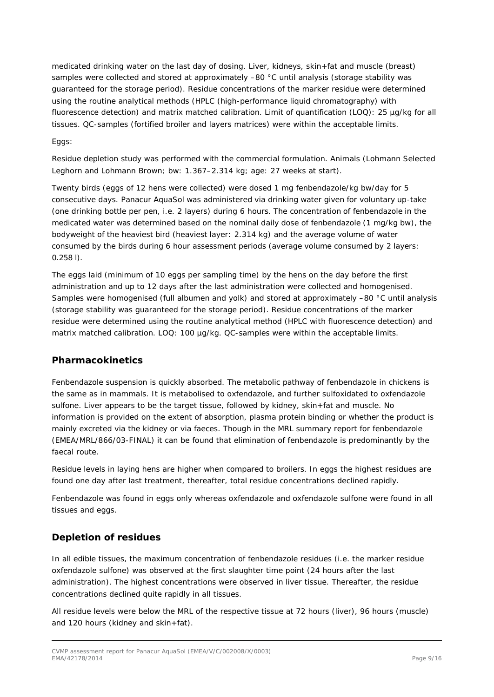medicated drinking water on the last day of dosing. Liver, kidneys, skin+fat and muscle (breast) samples were collected and stored at approximately -80 °C until analysis (storage stability was guaranteed for the storage period). Residue concentrations of the marker residue were determined using the routine analytical methods (HPLC (high-performance liquid chromatography) with fluorescence detection) and matrix matched calibration. Limit of quantification (LOQ): 25 µg/kg for all tissues. QC-samples (fortified broiler and layers matrices) were within the acceptable limits.

Eggs:

Residue depletion study was performed with the commercial formulation. Animals (Lohmann Selected Leghorn and Lohmann Brown; bw: 1.367–2.314 kg; age: 27 weeks at start).

Twenty birds (eggs of 12 hens were collected) were dosed 1 mg fenbendazole/kg bw/day for 5 consecutive days. Panacur AquaSol was administered via drinking water given for voluntary up-take (one drinking bottle per pen, i.e. 2 layers) during 6 hours. The concentration of fenbendazole in the medicated water was determined based on the nominal daily dose of fenbendazole (1 mg/kg bw), the bodyweight of the heaviest bird (heaviest layer: 2.314 kg) and the average volume of water consumed by the birds during 6 hour assessment periods (average volume consumed by 2 layers: 0.258 l).

The eggs laid (minimum of 10 eggs per sampling time) by the hens on the day before the first administration and up to 12 days after the last administration were collected and homogenised. Samples were homogenised (full albumen and yolk) and stored at approximately –80 °C until analysis (storage stability was guaranteed for the storage period). Residue concentrations of the marker residue were determined using the routine analytical method (HPLC with fluorescence detection) and matrix matched calibration. LOQ: 100 µg/kg. QC-samples were within the acceptable limits.

## *Pharmacokinetics*

Fenbendazole suspension is quickly absorbed. The metabolic pathway of fenbendazole in chickens is the same as in mammals. It is metabolised to oxfendazole, and further sulfoxidated to oxfendazole sulfone. Liver appears to be the target tissue, followed by kidney, skin+fat and muscle. No information is provided on the extent of absorption, plasma protein binding or whether the product is mainly excreted via the kidney or via faeces. Though in the MRL summary report for fenbendazole (EMEA/MRL/866/03-FINAL) it can be found that elimination of fenbendazole is predominantly by the faecal route.

Residue levels in laying hens are higher when compared to broilers. In eggs the highest residues are found one day after last treatment, thereafter, total residue concentrations declined rapidly.

Fenbendazole was found in eggs only whereas oxfendazole and oxfendazole sulfone were found in all tissues and eggs.

## *Depletion of residues*

In all edible tissues, the maximum concentration of fenbendazole residues (i.e. the marker residue oxfendazole sulfone) was observed at the first slaughter time point (24 hours after the last administration). The highest concentrations were observed in liver tissue. Thereafter, the residue concentrations declined quite rapidly in all tissues.

All residue levels were below the MRL of the respective tissue at 72 hours (liver), 96 hours (muscle) and 120 hours (kidney and skin+fat).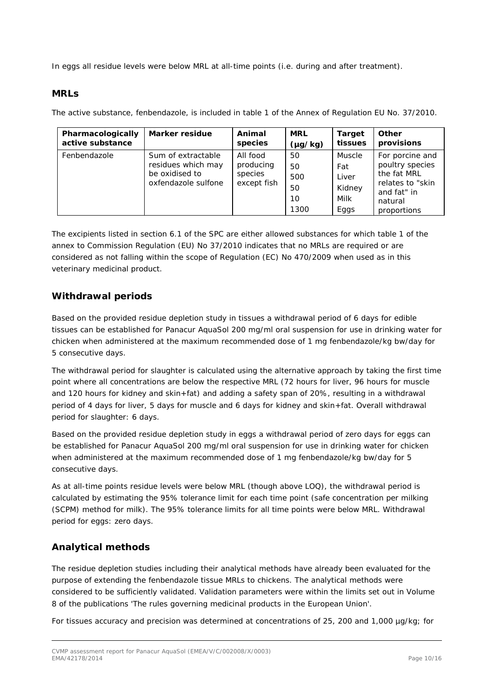In eggs all residue levels were below MRL at all-time points (i.e. during and after treatment).

### *MRLs*

The active substance, fenbendazole, is included in table 1 of the Annex of Regulation EU No. 37/2010.

| Pharmacologically | Marker residue                                                                    | Animal                                          | <b>MRL</b>                          | <b>Target</b>                                    | Other                                                                                                          |
|-------------------|-----------------------------------------------------------------------------------|-------------------------------------------------|-------------------------------------|--------------------------------------------------|----------------------------------------------------------------------------------------------------------------|
| active substance  |                                                                                   | species                                         | $(\mu g/kg)$                        | tissues                                          | provisions                                                                                                     |
| Fenbendazole      | Sum of extractable<br>residues which may<br>be oxidised to<br>oxfendazole sulfone | All food<br>producing<br>species<br>except fish | 50<br>50<br>500<br>50<br>10<br>1300 | Muscle<br>Fat<br>Liver<br>Kidney<br>Milk<br>Eggs | For porcine and<br>poultry species<br>the fat MRL<br>relates to "skin<br>and fat" in<br>natural<br>proportions |

The excipients listed in section 6.1 of the SPC are either allowed substances for which table 1 of the annex to Commission Regulation (EU) No 37/2010 indicates that no MRLs are required or are considered as not falling within the scope of Regulation (EC) No 470/2009 when used as in this veterinary medicinal product.

## *Withdrawal periods*

Based on the provided residue depletion study in tissues a withdrawal period of 6 days for edible tissues can be established for Panacur AquaSol 200 mg/ml oral suspension for use in drinking water for chicken when administered at the maximum recommended dose of 1 mg fenbendazole/kg bw/day for 5 consecutive days*.*

The withdrawal period for slaughter is calculated using the alternative approach by taking the first time point where all concentrations are below the respective MRL (72 hours for liver, 96 hours for muscle and 120 hours for kidney and skin+fat) and adding a safety span of 20%, resulting in a withdrawal period of 4 days for liver, 5 days for muscle and 6 days for kidney and skin+fat. Overall withdrawal period for slaughter: 6 days.

Based on the provided residue depletion study in eggs a withdrawal period of zero days for eggs can be established for Panacur AquaSol 200 mg/ml oral suspension for use in drinking water for chicken when administered at the maximum recommended dose of 1 mg fenbendazole/kg bw/day for 5 consecutive days*.*

As at all-time points residue levels were below MRL (though above LOQ), the withdrawal period is calculated by estimating the 95% tolerance limit for each time point (safe concentration per milking (SCPM) method for milk). The 95% tolerance limits for all time points were below MRL. Withdrawal period for eggs: zero days.

## *Analytical methods*

The residue depletion studies including their analytical methods have already been evaluated for the purpose of extending the fenbendazole tissue MRLs to chickens. The analytical methods were considered to be sufficiently validated. Validation parameters were within the limits set out in Volume 8 of the publications 'The rules governing medicinal products in the European Union'.

For tissues accuracy and precision was determined at concentrations of 25, 200 and 1,000 µg/kg; for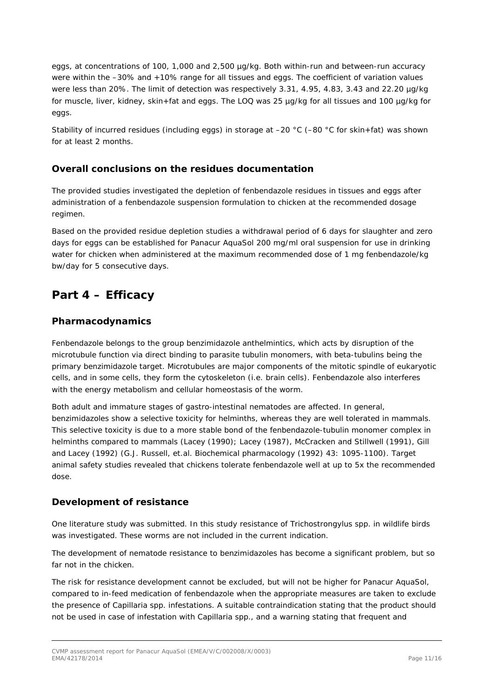eggs, at concentrations of 100, 1,000 and 2,500 µg/kg. Both within-run and between-run accuracy were within the –30% and +10% range for all tissues and eggs. The coefficient of variation values were less than 20%. The limit of detection was respectively 3.31, 4.95, 4.83, 3.43 and 22.20 µg/kg for muscle, liver, kidney, skin+fat and eggs. The LOQ was 25 µg/kg for all tissues and 100 µg/kg for eggs.

Stability of incurred residues (including eggs) in storage at –20 °C (–80 °C for skin+fat) was shown for at least 2 months.

## *Overall conclusions on the residues documentation*

The provided studies investigated the depletion of fenbendazole residues in tissues and eggs after administration of a fenbendazole suspension formulation to chicken at the recommended dosage regimen.

Based on the provided residue depletion studies a withdrawal period of 6 days for slaughter and zero days for eggs can be established for Panacur AquaSol 200 mg/ml oral suspension for use in drinking water for chicken when administered at the maximum recommended dose of 1 mg fenbendazole/kg bw/day for 5 consecutive days.

# **Part 4 – Efficacy**

## *Pharmacodynamics*

Fenbendazole belongs to the group benzimidazole anthelmintics, which acts by disruption of the microtubule function via direct binding to parasite tubulin monomers, with beta-tubulins being the primary benzimidazole target. Microtubules are major components of the mitotic spindle of eukaryotic cells, and in some cells, they form the cytoskeleton (i.e. brain cells). Fenbendazole also interferes with the energy metabolism and cellular homeostasis of the worm.

Both adult and immature stages of gastro-intestinal nematodes are affected. In general, benzimidazoles show a selective toxicity for helminths, whereas they are well tolerated in mammals. This selective toxicity is due to a more stable bond of the fenbendazole-tubulin monomer complex in helminths compared to mammals (Lacey (1990); Lacey (1987), McCracken and Stillwell (1991), Gill and Lacey (1992) (G.J. Russell, et.al. Biochemical pharmacology (1992) 43: 1095-1100). Target animal safety studies revealed that chickens tolerate fenbendazole well at up to 5x the recommended dose.

### *Development of resistance*

One literature study was submitted. In this study resistance of *Trichostrongylus* spp. in wildlife birds was investigated. These worms are not included in the current indication.

The development of nematode resistance to benzimidazoles has become a significant problem, but so far not in the chicken.

The risk for resistance development cannot be excluded, but will not be higher for Panacur AquaSol, compared to in-feed medication of fenbendazole when the appropriate measures are taken to exclude the presence of *Capillaria* spp. infestations. A suitable contraindication stating that the product should not be used in case of infestation with *Capillaria* spp., and a warning stating that frequent and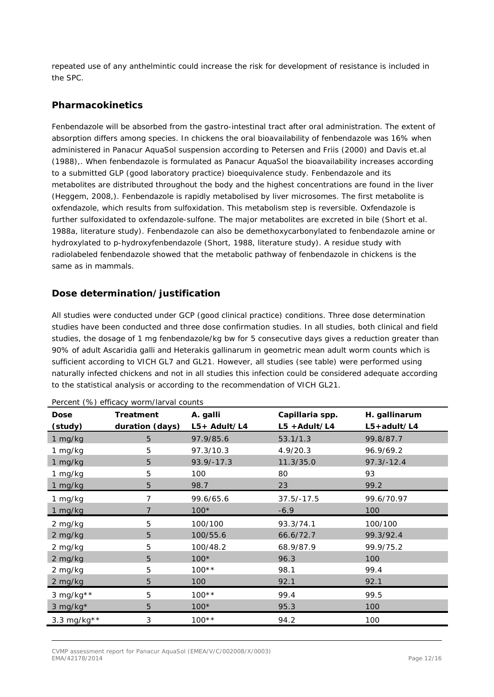repeated use of any anthelmintic could increase the risk for development of resistance is included in the SPC.

### *Pharmacokinetics*

Fenbendazole will be absorbed from the gastro-intestinal tract after oral administration. The extent of absorption differs among species. In chickens the oral bioavailability of fenbendazole was 16% when administered in Panacur AquaSol suspension according to Petersen and Friis (2000) and Davis et.al (1988),. When fenbendazole is formulated as Panacur AquaSol the bioavailability increases according to a submitted GLP (good laboratory practice) bioequivalence study. Fenbendazole and its metabolites are distributed throughout the body and the highest concentrations are found in the liver (Heggem, 2008,). Fenbendazole is rapidly metabolised by liver microsomes. The first metabolite is oxfendazole, which results from sulfoxidation. This metabolism step is reversible. Oxfendazole is further sulfoxidated to oxfendazole-sulfone. The major metabolites are excreted in bile (Short et al. 1988a, literature study). Fenbendazole can also be demethoxycarbonylated to fenbendazole amine or hydroxylated to p-hydroxyfenbendazole (Short, 1988, literature study). A residue study with radiolabeled fenbendazole showed that the metabolic pathway of fenbendazole in chickens is the same as in mammals.

## *Dose determination/justification*

All studies were conducted under GCP (good clinical practice) conditions. Three dose determination studies have been conducted and three dose confirmation studies. In all studies, both clinical and field studies, the dosage of 1 mg fenbendazole/kg bw for 5 consecutive days gives a reduction greater than 90% of adult *Ascaridia galli* and *Heterakis gallinarum* in geometric mean adult worm counts which is sufficient according to VICH GL7 and GL21. However, all studies (see table) were performed using naturally infected chickens and not in all studies this infection could be considered adequate according to the statistical analysis or according to the recommendation of VICH GL21.

| <b>Dose</b>  | $\frac{1}{2}$ of $\frac{1}{2}$ of $\frac{1}{2}$ of $\frac{1}{2}$ of $\frac{1}{2}$ of $\frac{1}{2}$ of $\frac{1}{2}$ of $\frac{1}{2}$ of $\frac{1}{2}$<br>Treatment | A. galli<br>$L5+$ Adult/L4 | Capillaria spp.<br>$L5 + Adult/L4$ | H. gallinarum<br>$L5 + adult/L4$ |
|--------------|--------------------------------------------------------------------------------------------------------------------------------------------------------------------|----------------------------|------------------------------------|----------------------------------|
| (study)      | duration (days)                                                                                                                                                    |                            |                                    |                                  |
| 1 mg/kg      | 5                                                                                                                                                                  | 97.9/85.6                  | 53.1/1.3                           | 99.8/87.7                        |
| 1 mg/kg      | 5                                                                                                                                                                  | 97.3/10.3                  | 4.9/20.3                           | 96.9/69.2                        |
| 1 mg/kg      | 5                                                                                                                                                                  | $93.9/-17.3$               | 11.3/35.0                          | $97.3/-12.4$                     |
| 1 mg/kg      | 5                                                                                                                                                                  | 100                        | 80                                 | 93                               |
| 1 mg/kg      | 5                                                                                                                                                                  | 98.7                       | 23                                 | 99.2                             |
| 1 mg/kg      | 7                                                                                                                                                                  | 99.6/65.6                  | $37.5/-17.5$                       | 99.6/70.97                       |
| 1 mg/kg      |                                                                                                                                                                    | $100*$                     | $-6.9$                             | 100                              |
| 2 mg/kg      | 5                                                                                                                                                                  | 100/100                    | 93.3/74.1                          | 100/100                          |
| 2 mg/kg      | 5                                                                                                                                                                  | 100/55.6                   | 66.6/72.7                          | 99.3/92.4                        |
| 2 mg/kg      | 5                                                                                                                                                                  | 100/48.2                   | 68.9/87.9                          | 99.9/75.2                        |
| 2 mg/kg      | 5                                                                                                                                                                  | $100*$                     | 96.3                               | 100                              |
| 2 mg/kg      | 5                                                                                                                                                                  | $100**$                    | 98.1                               | 99.4                             |
| 2 mg/kg      | 5                                                                                                                                                                  | 100                        | 92.1                               | 92.1                             |
| 3 mg/kg $**$ | 5                                                                                                                                                                  | $100**$                    | 99.4                               | 99.5                             |
| 3 mg/kg*     | 5                                                                                                                                                                  | $100*$                     | 95.3                               | 100                              |
| 3.3 mg/kg**  | 3                                                                                                                                                                  | $100**$                    | 94.2                               | 100                              |

Percent (%) efficacy worm/larval counts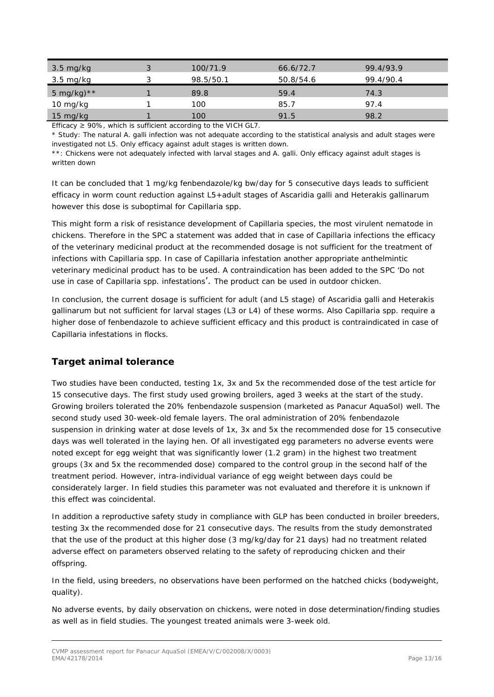| $3.5 \text{ mg/kg}$ | ာ | 100/71.9  | 66.6/72.7 | 99.4/93.9 |
|---------------------|---|-----------|-----------|-----------|
| 3.5 mg/kg           |   | 98.5/50.1 | 50.8/54.6 | 99.4/90.4 |
| 5 mg/kg) $**$       |   | 89.8      | 59.4      | 74.3      |
| 10 mg/kg            |   | 100       | 85.7      | 97.4      |
| $15 \text{ mg/kg}$  |   | 100       | 91.5      | 98.2      |

Efficacy  $\geq$  90%, which is sufficient according to the VICH GL7.

\* Study: The natural *A. galli* infection was not adequate according to the statistical analysis and adult stages were investigated not L5. Only efficacy against adult stages is written down.

\*\*: Chickens were not adequately infected with larval stages and *A. galli*. Only efficacy against adult stages is written down

It can be concluded that 1 mg/kg fenbendazole/kg bw/day for 5 consecutive days leads to sufficient efficacy in worm count reduction against L5+adult stages of *Ascaridia galli* and *Heterakis gallinarum* however this dose is suboptimal for *Capillaria* spp.

This might form a risk of resistance development of *Capillaria* species, the most virulent nematode in chickens. Therefore in the SPC a statement was added that in case of *Capillaria* infections the efficacy of the veterinary medicinal product at the recommended dosage is not sufficient for the treatment of infections with *Capillaria* spp. In case of *Capillaria* infestation another appropriate anthelmintic veterinary medicinal product has to be used. A contraindication has been added to the SPC 'Do not use in case of *Capillaria* spp. infestations'. The product can be used in outdoor chicken.

In conclusion, the current dosage is sufficient for adult (and L5 stage) of *Ascaridia galli* and *Heterakis gallinarum* but not sufficient for larval stages (L3 or L4) of these worms. Also *Capillaria* spp. require a higher dose of fenbendazole to achieve sufficient efficacy and this product is contraindicated in case of *Capillaria* infestations in flocks.

## *Target animal tolerance*

Two studies have been conducted, testing 1x, 3x and 5x the recommended dose of the test article for 15 consecutive days. The first study used growing broilers, aged 3 weeks at the start of the study. Growing broilers tolerated the 20% fenbendazole suspension (marketed as Panacur AquaSol) well. The second study used 30-week-old female layers. The oral administration of 20% fenbendazole suspension in drinking water at dose levels of 1x, 3x and 5x the recommended dose for 15 consecutive days was well tolerated in the laying hen. Of all investigated egg parameters no adverse events were noted except for egg weight that was significantly lower (1.2 gram) in the highest two treatment groups (3x and 5x the recommended dose) compared to the control group in the second half of the treatment period. However, intra-individual variance of egg weight between days could be considerately larger. In field studies this parameter was not evaluated and therefore it is unknown if this effect was coincidental.

In addition a reproductive safety study in compliance with GLP has been conducted in broiler breeders, testing 3x the recommended dose for 21 consecutive days. The results from the study demonstrated that the use of the product at this higher dose (3 mg/kg/day for 21 days) had no treatment related adverse effect on parameters observed relating to the safety of reproducing chicken and their offspring.

In the field, using breeders, no observations have been performed on the hatched chicks (bodyweight, quality).

No adverse events, by daily observation on chickens, were noted in dose determination/finding studies as well as in field studies. The youngest treated animals were 3-week old.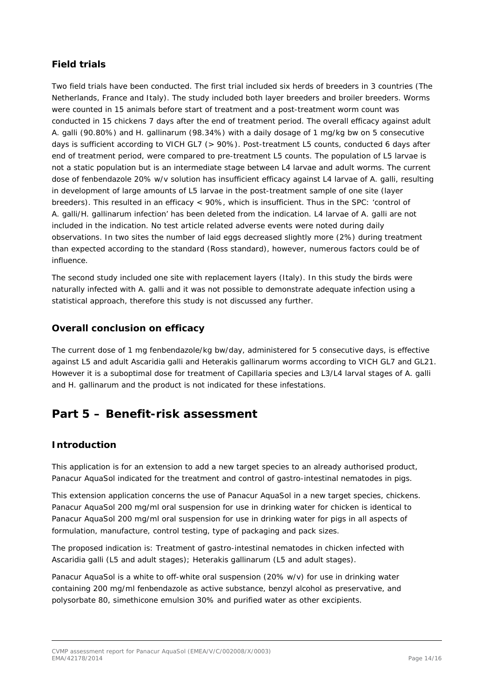## *Field trials*

Two field trials have been conducted. The first trial included six herds of breeders in 3 countries (The Netherlands, France and Italy). The study included both layer breeders and broiler breeders. Worms were counted in 15 animals before start of treatment and a post-treatment worm count was conducted in 15 chickens 7 days after the end of treatment period. The overall efficacy against adult *A. galli* (90.80%) and *H. gallinarum* (98.34%) with a daily dosage of 1 mg/kg bw on 5 consecutive days is sufficient according to VICH GL7 (> 90%). Post-treatment L5 counts, conducted 6 days after end of treatment period, were compared to pre-treatment L5 counts. The population of L5 larvae is not a static population but is an intermediate stage between L4 larvae and adult worms. The current dose of fenbendazole 20% w/v solution has insufficient efficacy against L4 larvae of *A. galli*, resulting in development of large amounts of L5 larvae in the post-treatment sample of one site (layer breeders). This resulted in an efficacy < 90%, which is insufficient. Thus in the SPC: 'control of *A. galli/H. gallinarum* infection' has been deleted from the indication. L4 larvae of *A. galli* are not included in the indication. No test article related adverse events were noted during daily observations. In two sites the number of laid eggs decreased slightly more (2%) during treatment than expected according to the standard (Ross standard), however, numerous factors could be of influence.

The second study included one site with replacement layers (Italy). In this study the birds were naturally infected with *A. galli* and it was not possible to demonstrate adequate infection using a statistical approach, therefore this study is not discussed any further.

## *Overall conclusion on efficacy*

The current dose of 1 mg fenbendazole/kg bw/day, administered for 5 consecutive days, is effective against L5 and adult *Ascaridia galli* and *Heterakis gallinarum* worms according to VICH GL7 and GL21. However it is a suboptimal dose for treatment of *Capillaria* species and L3/L4 larval stages of *A. galli* and *H. gallinarum* and the product is not indicated for these infestations.

# **Part 5 – Benefit-risk assessment**

## *Introduction*

This application is for an extension to add a new target species to an already authorised product, Panacur AquaSol indicated for the treatment and control of gastro-intestinal nematodes in pigs.

This extension application concerns the use of Panacur AquaSol in a new target species, chickens. Panacur AquaSol 200 mg/ml oral suspension for use in drinking water for chicken is identical to Panacur AquaSol 200 mg/ml oral suspension for use in drinking water for pigs in all aspects of formulation, manufacture, control testing, type of packaging and pack sizes.

The proposed indication is: *Treatment of gastro-intestinal nematodes in chicken infected with Ascaridia galli (L5 and adult stages); Heterakis gallinarum (L5 and adult stages).*

Panacur AquaSol is a white to off-white oral suspension (20% w/v) for use in drinking water containing 200 mg/ml fenbendazole as active substance, benzyl alcohol as preservative, and polysorbate 80, simethicone emulsion 30% and purified water as other excipients.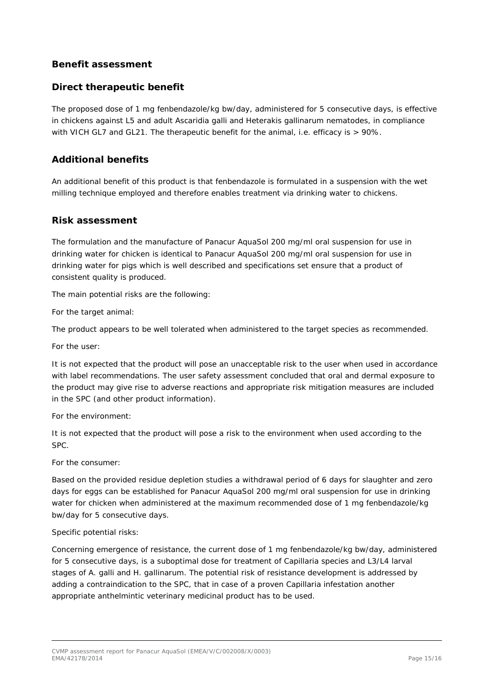## *Benefit assessment*

### **Direct therapeutic benefit**

The proposed dose of 1 mg fenbendazole/kg bw/day, administered for 5 consecutive days, is effective in chickens against L5 and adult *Ascaridia galli* and *Heterakis gallinarum* nematodes, in compliance with VICH GL7 and GL21. The therapeutic benefit for the animal, i.e. efficacy is  $> 90\%$ .

### **Additional benefits**

An additional benefit of this product is that fenbendazole is formulated in a suspension with the wet milling technique employed and therefore enables treatment via drinking water to chickens.

### **Risk assessment**

The formulation and the manufacture of Panacur AquaSol 200 mg/ml oral suspension for use in drinking water for chicken is identical to Panacur AquaSol 200 mg/ml oral suspension for use in drinking water for pigs which is well described and specifications set ensure that a product of consistent quality is produced.

The main potential risks are the following:

For the target animal:

The product appears to be well tolerated when administered to the target species as recommended.

For the user:

It is not expected that the product will pose an unacceptable risk to the user when used in accordance with label recommendations. The user safety assessment concluded that oral and dermal exposure to the product may give rise to adverse reactions and appropriate risk mitigation measures are included in the SPC (and other product information).

For the environment:

It is not expected that the product will pose a risk to the environment when used according to the SPC.

For the consumer:

Based on the provided residue depletion studies a withdrawal period of 6 days for slaughter and zero days for eggs can be established for Panacur AquaSol 200 mg/ml oral suspension for use in drinking water for chicken when administered at the maximum recommended dose of 1 mg fenbendazole/kg bw/day for 5 consecutive days.

#### Specific potential risks:

Concerning emergence of resistance, the current dose of 1 mg fenbendazole/kg bw/day, administered for 5 consecutive days, is a suboptimal dose for treatment of *Capillaria* species and L3/L4 larval stages of *A. galli* and *H. gallinarum*. The potential risk of resistance development is addressed by adding a contraindication to the SPC, that in case of a proven *Capillaria* infestation another appropriate anthelmintic veterinary medicinal product has to be used.